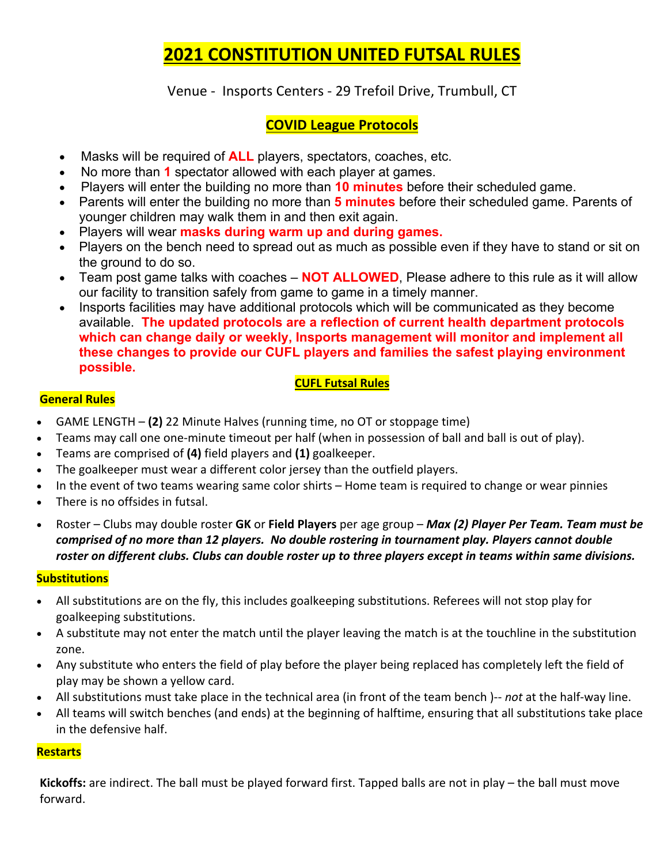# **2021 CONSTITUTION UNITED FUTSAL RULES**

Venue - Insports Centers - 29 Trefoil Drive, Trumbull, CT

# **COVID League Protocols**

- Masks will be required of **ALL** players, spectators, coaches, etc.
- No more than **1** spectator allowed with each player at games.
- Players will enter the building no more than **10 minutes** before their scheduled game.
- Parents will enter the building no more than **5 minutes** before their scheduled game. Parents of younger children may walk them in and then exit again.
- Players will wear **masks during warm up and during games.**
- Players on the bench need to spread out as much as possible even if they have to stand or sit on the ground to do so.
- Team post game talks with coaches **NOT ALLOWED**, Please adhere to this rule as it will allow our facility to transition safely from game to game in a timely manner.
- Insports facilities may have additional protocols which will be communicated as they become available. **The updated protocols are a reflection of current health department protocols which can change daily or weekly, Insports management will monitor and implement all these changes to provide our CUFL players and families the safest playing environment possible.**

#### **CUFL Futsal Rules**

### **General Rules**

- GAME LENGTH **(2)** 22 Minute Halves (running time, no OT or stoppage time)
- Teams may call one one-minute timeout per half (when in possession of ball and ball is out of play).
- Teams are comprised of **(4)** field players and **(1)** goalkeeper.
- The goalkeeper must wear a different color jersey than the outfield players.
- In the event of two teams wearing same color shirts Home team is required to change or wear pinnies
- There is no offsides in futsal.
- Roster Clubs may double roster **GK** or **Field Players** per age group *Max (2) Player Per Team. Team must be comprised of no more than 12 players. No double rostering in tournament play. Players cannot double roster on different clubs. Clubs can double roster up to three players except in teams within same divisions.*

#### **Substitutions**

- All substitutions are on the fly, this includes goalkeeping substitutions. Referees will not stop play for goalkeeping substitutions.
- A substitute may not enter the match until the player leaving the match is at the touchline in the substitution zone.
- Any substitute who enters the field of play before the player being replaced has completely left the field of play may be shown a yellow card.
- All substitutions must take place in the technical area (in front of the team bench )-- *not* at the half-way line.
- All teams will switch benches (and ends) at the beginning of halftime, ensuring that all substitutions take place in the defensive half.

#### **Restarts**

**Kickoffs:** are indirect. The ball must be played forward first. Tapped balls are not in play – the ball must move forward.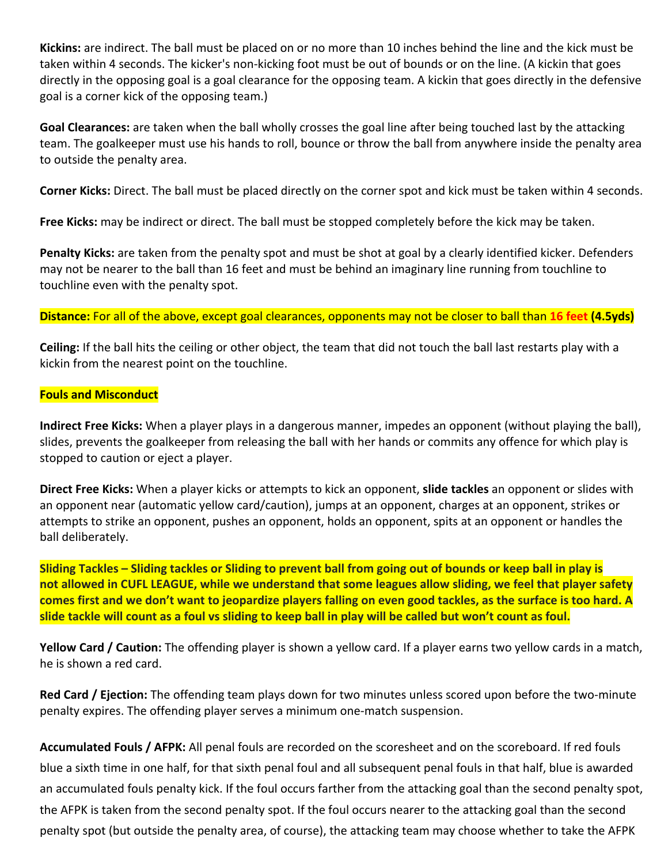**Kickins:** are indirect. The ball must be placed on or no more than 10 inches behind the line and the kick must be taken within 4 seconds. The kicker's non-kicking foot must be out of bounds or on the line. (A kickin that goes directly in the opposing goal is a goal clearance for the opposing team. A kickin that goes directly in the defensive goal is a corner kick of the opposing team.)

**Goal Clearances:** are taken when the ball wholly crosses the goal line after being touched last by the attacking team. The goalkeeper must use his hands to roll, bounce or throw the ball from anywhere inside the penalty area to outside the penalty area.

**Corner Kicks:** Direct. The ball must be placed directly on the corner spot and kick must be taken within 4 seconds.

**Free Kicks:** may be indirect or direct. The ball must be stopped completely before the kick may be taken.

**Penalty Kicks:** are taken from the penalty spot and must be shot at goal by a clearly identified kicker. Defenders may not be nearer to the ball than 16 feet and must be behind an imaginary line running from touchline to touchline even with the penalty spot.

**Distance:** For all of the above, except goal clearances, opponents may not be closer to ball than **16 feet (4.5yds)**

**Ceiling:** If the ball hits the ceiling or other object, the team that did not touch the ball last restarts play with a kickin from the nearest point on the touchline.

#### **Fouls and Misconduct**

**Indirect Free Kicks:** When a player plays in a dangerous manner, impedes an opponent (without playing the ball), slides, prevents the goalkeeper from releasing the ball with her hands or commits any offence for which play is stopped to caution or eject a player.

**Direct Free Kicks:** When a player kicks or attempts to kick an opponent, **slide tackles** an opponent or slides with an opponent near (automatic yellow card/caution), jumps at an opponent, charges at an opponent, strikes or attempts to strike an opponent, pushes an opponent, holds an opponent, spits at an opponent or handles the ball deliberately.

**Sliding Tackles – Sliding tackles or Sliding to prevent ball from going out of bounds or keep ball in play is not allowed in CUFL LEAGUE, while we understand that some leagues allow sliding, we feel that player safety comes first and we don't want to jeopardize players falling on even good tackles, as the surface is too hard. A slide tackle will count as a foul vs sliding to keep ball in play will be called but won't count as foul.** 

**Yellow Card / Caution:** The offending player is shown a yellow card. If a player earns two yellow cards in a match, he is shown a red card.

**Red Card / Ejection:** The offending team plays down for two minutes unless scored upon before the two-minute penalty expires. The offending player serves a minimum one-match suspension.

**Accumulated Fouls / AFPK:** All penal fouls are recorded on the scoresheet and on the scoreboard. If red fouls blue a sixth time in one half, for that sixth penal foul and all subsequent penal fouls in that half, blue is awarded an accumulated fouls penalty kick. If the foul occurs farther from the attacking goal than the second penalty spot, the AFPK is taken from the second penalty spot. If the foul occurs nearer to the attacking goal than the second penalty spot (but outside the penalty area, of course), the attacking team may choose whether to take the AFPK